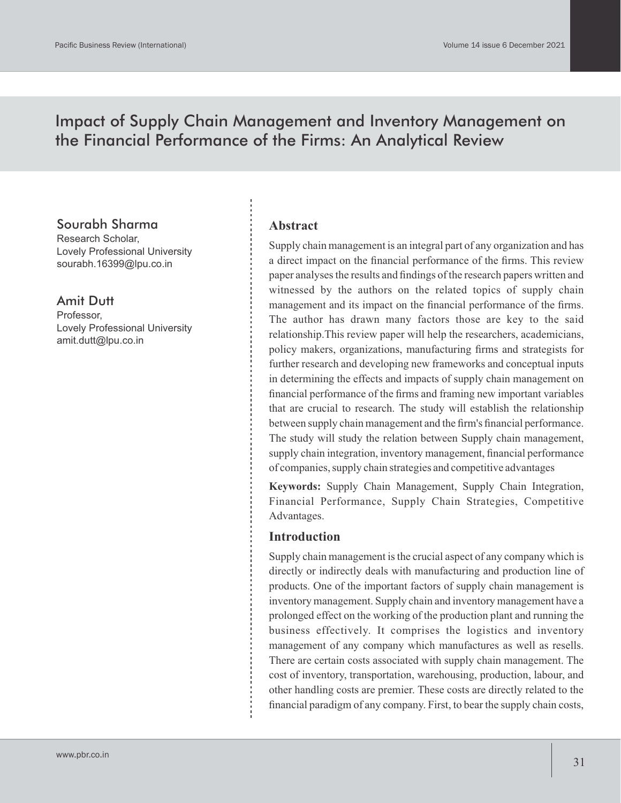# Impact of Supply Chain Management and Inventory Management on the Financial Performance of the Firms: An Analytical Review

# Sourabh Sharma

Research Scholar, Lovely Professional University sourabh.16399@lpu.co.in

# Amit Dutt

Professor, Lovely Professional University amit.dutt@lpu.co.in

#### **Abstract**

Supply chain management is an integral part of any organization and has a direct impact on the financial performance of the firms. This review paper analyses the results and findings of the research papers written and witnessed by the authors on the related topics of supply chain management and its impact on the financial performance of the firms. The author has drawn many factors those are key to the said relationship.This review paper will help the researchers, academicians, policy makers, organizations, manufacturing firms and strategists for further research and developing new frameworks and conceptual inputs in determining the effects and impacts of supply chain management on financial performance of the firms and framing new important variables that are crucial to research. The study will establish the relationship between supply chain management and the firm's financial performance. The study will study the relation between Supply chain management, supply chain integration, inventory management, financial performance of companies, supply chain strategies and competitive advantages

**Keywords:** Supply Chain Management, Supply Chain Integration, Financial Performance, Supply Chain Strategies, Competitive Advantages.

#### **Introduction**

Supply chain management is the crucial aspect of any company which is directly or indirectly deals with manufacturing and production line of products. One of the important factors of supply chain management is inventory management. Supply chain and inventory management have a prolonged effect on the working of the production plant and running the business effectively. It comprises the logistics and inventory management of any company which manufactures as well as resells. There are certain costs associated with supply chain management. The cost of inventory, transportation, warehousing, production, labour, and other handling costs are premier. These costs are directly related to the financial paradigm of any company. First, to bear the supply chain costs,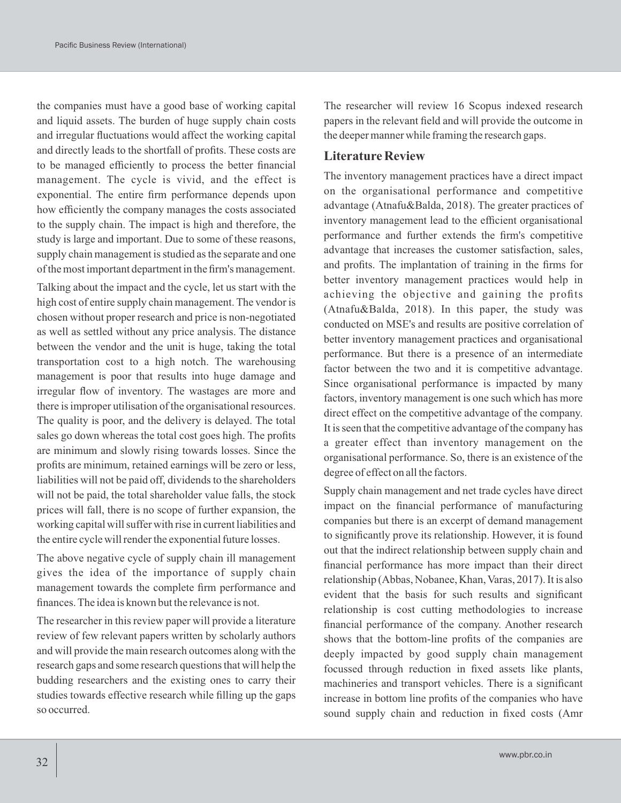the companies must have a good base of working capital and liquid assets. The burden of huge supply chain costs and irregular fluctuations would affect the working capital and directly leads to the shortfall of profits. These costs are to be managed efficiently to process the better financial management. The cycle is vivid, and the effect is exponential. The entire firm performance depends upon how efficiently the company manages the costs associated to the supply chain. The impact is high and therefore, the study is large and important. Due to some of these reasons, supply chain management is studied as the separate and one of the most important department in the firm's management.

Talking about the impact and the cycle, let us start with the high cost of entire supply chain management. The vendor is chosen without proper research and price is non-negotiated as well as settled without any price analysis. The distance between the vendor and the unit is huge, taking the total transportation cost to a high notch. The warehousing management is poor that results into huge damage and irregular flow of inventory. The wastages are more and there is improper utilisation of the organisational resources. The quality is poor, and the delivery is delayed. The total sales go down whereas the total cost goes high. The profits are minimum and slowly rising towards losses. Since the profits are minimum, retained earnings will be zero or less, liabilities will not be paid off, dividends to the shareholders will not be paid, the total shareholder value falls, the stock prices will fall, there is no scope of further expansion, the working capital will suffer with rise in current liabilities and the entire cycle will render the exponential future losses.

The above negative cycle of supply chain ill management gives the idea of the importance of supply chain management towards the complete firm performance and finances. The idea is known but the relevance is not.

The researcher in this review paper will provide a literature review of few relevant papers written by scholarly authors and will provide the main research outcomes along with the research gaps and some research questions that will help the budding researchers and the existing ones to carry their studies towards effective research while filling up the gaps so occurred.

The researcher will review 16 Scopus indexed research papers in the relevant field and will provide the outcome in the deeper manner while framing the research gaps.

### **Literature Review**

The inventory management practices have a direct impact on the organisational performance and competitive advantage (Atnafu&Balda, 2018). The greater practices of inventory management lead to the efficient organisational performance and further extends the firm's competitive advantage that increases the customer satisfaction, sales, and profits. The implantation of training in the firms for better inventory management practices would help in achieving the objective and gaining the profits (Atnafu&Balda, 2018). In this paper, the study was conducted on MSE's and results are positive correlation of better inventory management practices and organisational performance. But there is a presence of an intermediate factor between the two and it is competitive advantage. Since organisational performance is impacted by many factors, inventory management is one such which has more direct effect on the competitive advantage of the company. It is seen that the competitive advantage of the company has a greater effect than inventory management on the organisational performance. So, there is an existence of the degree of effect on all the factors.

Supply chain management and net trade cycles have direct impact on the financial performance of manufacturing companies but there is an excerpt of demand management to significantly prove its relationship. However, it is found out that the indirect relationship between supply chain and financial performance has more impact than their direct relationship (Abbas, Nobanee, Khan, Varas, 2017). It is also evident that the basis for such results and significant relationship is cost cutting methodologies to increase financial performance of the company. Another research shows that the bottom-line profits of the companies are deeply impacted by good supply chain management focussed through reduction in fixed assets like plants, machineries and transport vehicles. There is a significant increase in bottom line profits of the companies who have sound supply chain and reduction in fixed costs (Amr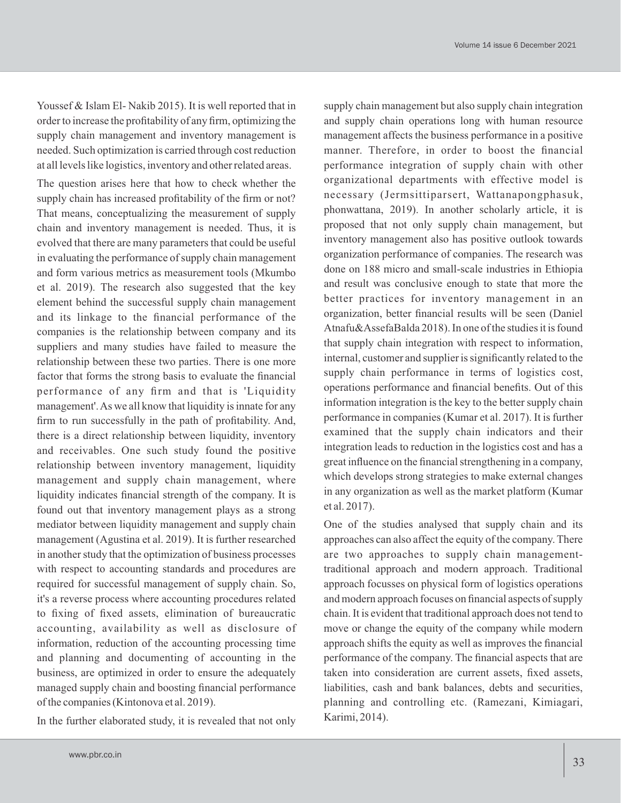Youssef & Islam El- Nakib 2015). It is well reported that in order to increase the profitability of any firm, optimizing the supply chain management and inventory management is needed. Such optimization is carried through cost reduction at all levels like logistics, inventory and other related areas.

The question arises here that how to check whether the supply chain has increased profitability of the firm or not? That means, conceptualizing the measurement of supply chain and inventory management is needed. Thus, it is evolved that there are many parameters that could be useful in evaluating the performance of supply chain management and form various metrics as measurement tools (Mkumbo et al. 2019). The research also suggested that the key element behind the successful supply chain management and its linkage to the financial performance of the companies is the relationship between company and its suppliers and many studies have failed to measure the relationship between these two parties. There is one more factor that forms the strong basis to evaluate the financial performance of any firm and that is 'Liquidity management'. As we all know that liquidity is innate for any firm to run successfully in the path of profitability. And, there is a direct relationship between liquidity, inventory and receivables. One such study found the positive relationship between inventory management, liquidity management and supply chain management, where liquidity indicates financial strength of the company. It is found out that inventory management plays as a strong mediator between liquidity management and supply chain management (Agustina et al. 2019). It is further researched in another study that the optimization of business processes with respect to accounting standards and procedures are required for successful management of supply chain. So, it's a reverse process where accounting procedures related to fixing of fixed assets, elimination of bureaucratic accounting, availability as well as disclosure of information, reduction of the accounting processing time and planning and documenting of accounting in the business, are optimized in order to ensure the adequately managed supply chain and boosting financial performance of the companies (Kintonova et al. 2019).

In the further elaborated study, it is revealed that not only

supply chain management but also supply chain integration and supply chain operations long with human resource management affects the business performance in a positive manner. Therefore, in order to boost the financial performance integration of supply chain with other organizational departments with effective model is necessary (Jermsittiparsert, Wattanapongphasuk, phonwattana, 2019). In another scholarly article, it is proposed that not only supply chain management, but inventory management also has positive outlook towards organization performance of companies. The research was done on 188 micro and small-scale industries in Ethiopia and result was conclusive enough to state that more the better practices for inventory management in an organization, better financial results will be seen (Daniel Atnafu&AssefaBalda 2018). In one of the studies it is found that supply chain integration with respect to information, internal, customer and supplier is significantly related to the supply chain performance in terms of logistics cost, operations performance and financial benefits. Out of this information integration is the key to the better supply chain performance in companies (Kumar et al. 2017). It is further examined that the supply chain indicators and their integration leads to reduction in the logistics cost and has a great influence on the financial strengthening in a company, which develops strong strategies to make external changes in any organization as well as the market platform (Kumar et al. 2017).

One of the studies analysed that supply chain and its approaches can also affect the equity of the company. There are two approaches to supply chain managementtraditional approach and modern approach. Traditional approach focusses on physical form of logistics operations and modern approach focuses on financial aspects of supply chain. It is evident that traditional approach does not tend to move or change the equity of the company while modern approach shifts the equity as well as improves the financial performance of the company. The financial aspects that are taken into consideration are current assets, fixed assets, liabilities, cash and bank balances, debts and securities, planning and controlling etc. (Ramezani, Kimiagari, Karimi, 2014).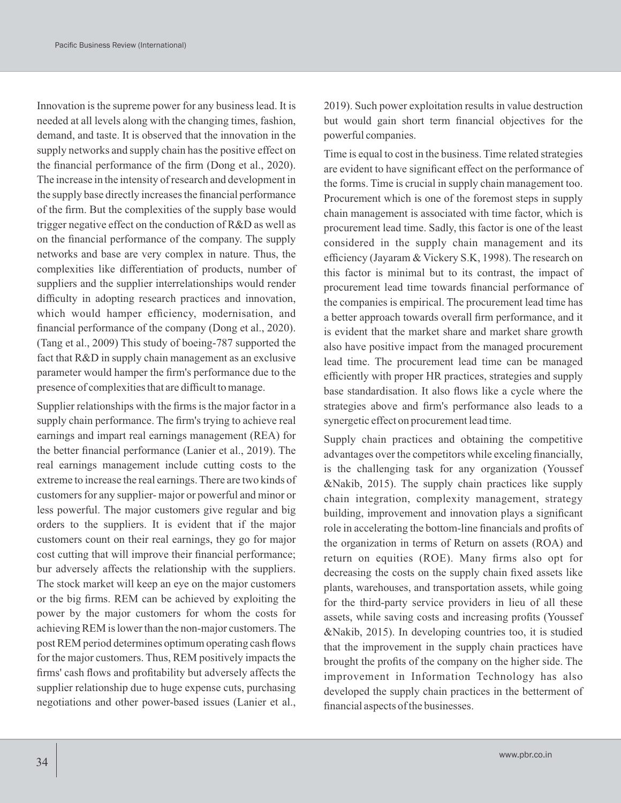Innovation is the supreme power for any business lead. It is needed at all levels along with the changing times, fashion, demand, and taste. It is observed that the innovation in the supply networks and supply chain has the positive effect on the financial performance of the firm (Dong et al., 2020). The increase in the intensity of research and development in the supply base directly increases the financial performance of the firm. But the complexities of the supply base would trigger negative effect on the conduction of R&D as well as on the financial performance of the company. The supply networks and base are very complex in nature. Thus, the complexities like differentiation of products, number of suppliers and the supplier interrelationships would render difficulty in adopting research practices and innovation, which would hamper efficiency, modernisation, and financial performance of the company (Dong et al., 2020). (Tang et al., 2009) This study of boeing-787 supported the fact that R&D in supply chain management as an exclusive parameter would hamper the firm's performance due to the presence of complexities that are difficult to manage.

Supplier relationships with the firms is the major factor in a supply chain performance. The firm's trying to achieve real earnings and impart real earnings management (REA) for the better financial performance (Lanier et al., 2019). The real earnings management include cutting costs to the extreme to increase the real earnings. There are two kinds of customers for any supplier- major or powerful and minor or less powerful. The major customers give regular and big orders to the suppliers. It is evident that if the major customers count on their real earnings, they go for major cost cutting that will improve their financial performance; bur adversely affects the relationship with the suppliers. The stock market will keep an eye on the major customers or the big firms. REM can be achieved by exploiting the power by the major customers for whom the costs for achieving REM is lower than the non-major customers. The post REM period determines optimum operating cash flows for the major customers. Thus, REM positively impacts the firms' cash flows and profitability but adversely affects the supplier relationship due to huge expense cuts, purchasing negotiations and other power-based issues (Lanier et al.,

2019). Such power exploitation results in value destruction but would gain short term financial objectives for the powerful companies.

Time is equal to cost in the business. Time related strategies are evident to have significant effect on the performance of the forms. Time is crucial in supply chain management too. Procurement which is one of the foremost steps in supply chain management is associated with time factor, which is procurement lead time. Sadly, this factor is one of the least considered in the supply chain management and its efficiency (Jayaram & Vickery S.K, 1998). The research on this factor is minimal but to its contrast, the impact of procurement lead time towards financial performance of the companies is empirical. The procurement lead time has a better approach towards overall firm performance, and it is evident that the market share and market share growth also have positive impact from the managed procurement lead time. The procurement lead time can be managed efficiently with proper HR practices, strategies and supply base standardisation. It also flows like a cycle where the strategies above and firm's performance also leads to a synergetic effect on procurement lead time.

Supply chain practices and obtaining the competitive advantages over the competitors while exceling financially, is the challenging task for any organization (Youssef &Nakib, 2015). The supply chain practices like supply chain integration, complexity management, strategy building, improvement and innovation plays a significant role in accelerating the bottom-line financials and profits of the organization in terms of Return on assets (ROA) and return on equities (ROE). Many firms also opt for decreasing the costs on the supply chain fixed assets like plants, warehouses, and transportation assets, while going for the third-party service providers in lieu of all these assets, while saving costs and increasing profits (Youssef &Nakib, 2015). In developing countries too, it is studied that the improvement in the supply chain practices have brought the profits of the company on the higher side. The improvement in Information Technology has also developed the supply chain practices in the betterment of financial aspects of the businesses.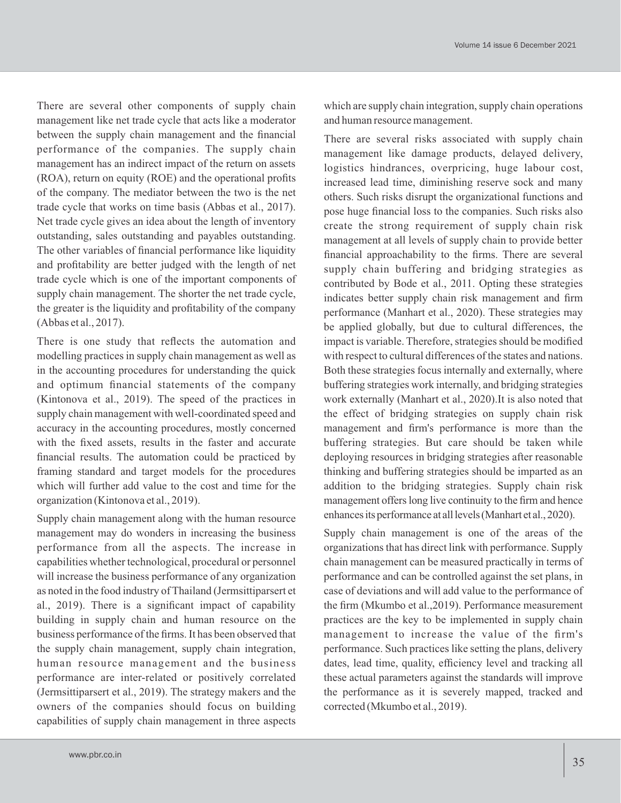There are several other components of supply chain management like net trade cycle that acts like a moderator between the supply chain management and the financial performance of the companies. The supply chain management has an indirect impact of the return on assets (ROA), return on equity (ROE) and the operational profits of the company. The mediator between the two is the net trade cycle that works on time basis (Abbas et al., 2017). Net trade cycle gives an idea about the length of inventory outstanding, sales outstanding and payables outstanding. The other variables of financial performance like liquidity and profitability are better judged with the length of net trade cycle which is one of the important components of supply chain management. The shorter the net trade cycle, the greater is the liquidity and profitability of the company (Abbas et al., 2017).

There is one study that reflects the automation and modelling practices in supply chain management as well as in the accounting procedures for understanding the quick and optimum financial statements of the company (Kintonova et al., 2019). The speed of the practices in supply chain management with well-coordinated speed and accuracy in the accounting procedures, mostly concerned with the fixed assets, results in the faster and accurate financial results. The automation could be practiced by framing standard and target models for the procedures which will further add value to the cost and time for the organization (Kintonova et al., 2019).

Supply chain management along with the human resource management may do wonders in increasing the business performance from all the aspects. The increase in capabilities whether technological, procedural or personnel will increase the business performance of any organization as noted in the food industry of Thailand (Jermsittiparsert et al., 2019). There is a significant impact of capability building in supply chain and human resource on the business performance of the firms. It has been observed that the supply chain management, supply chain integration, human resource management and the business performance are inter-related or positively correlated (Jermsittiparsert et al., 2019). The strategy makers and the owners of the companies should focus on building capabilities of supply chain management in three aspects

which are supply chain integration, supply chain operations and human resource management.

There are several risks associated with supply chain management like damage products, delayed delivery, logistics hindrances, overpricing, huge labour cost, increased lead time, diminishing reserve sock and many others. Such risks disrupt the organizational functions and pose huge financial loss to the companies. Such risks also create the strong requirement of supply chain risk management at all levels of supply chain to provide better financial approachability to the firms. There are several supply chain buffering and bridging strategies as contributed by Bode et al., 2011. Opting these strategies indicates better supply chain risk management and firm performance (Manhart et al., 2020). These strategies may be applied globally, but due to cultural differences, the impact is variable. Therefore, strategies should be modified with respect to cultural differences of the states and nations. Both these strategies focus internally and externally, where buffering strategies work internally, and bridging strategies work externally (Manhart et al., 2020).It is also noted that the effect of bridging strategies on supply chain risk management and firm's performance is more than the buffering strategies. But care should be taken while deploying resources in bridging strategies after reasonable thinking and buffering strategies should be imparted as an addition to the bridging strategies. Supply chain risk management offers long live continuity to the firm and hence enhancesits performance at alllevels(Manhart et al.,2020).

Supply chain management is one of the areas of the organizations that has direct link with performance. Supply chain management can be measured practically in terms of performance and can be controlled against the set plans, in case of deviations and will add value to the performance of the firm (Mkumbo et al.,2019). Performance measurement practices are the key to be implemented in supply chain management to increase the value of the firm's performance. Such practices like setting the plans, delivery dates, lead time, quality, efficiency level and tracking all these actual parameters against the standards will improve the performance as it is severely mapped, tracked and corrected (Mkumbo et al., 2019).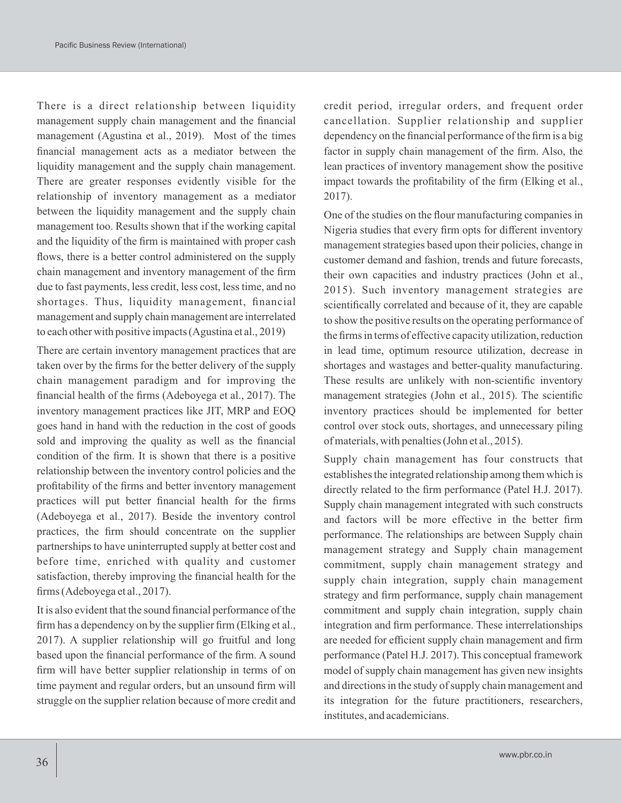There is a direct relationship between liquidity management supply chain management and the financial management (Agustina et al., 2019). Most of the times financial management acts as a mediator between the liquidity management and the supply chain management. There are greater responses evidently visible for the relationship of inventory management as a mediator between the liquidity management and the supply chain management too. Results shown that if the working capital and the liquidity of the firm is maintained with proper cash flows, there is a better control administered on the supply chain management and inventory management of the firm due to fast payments, less credit, less cost, less time, and no shortages. Thus, liquidity management, financial management and supply chain management are interrelated to each other with positive impacts (Agustina et al., 2019)

There are certain inventory management practices that are taken over by the firms for the better delivery of the supply chain management paradigm and for improving the financial health of the firms (Adeboyega et al., 2017). The inventory management practices like JIT, MRP and EOQ goes hand in hand with the reduction in the cost of goods sold and improving the quality as well as the financial condition of the firm. It is shown that there is a positive relationship between the inventory control policies and the profitability of the firms and better inventory management practices will put better financial health for the firms (Adeboyega et al., 2017). Beside the inventory control practices, the firm should concentrate on the supplier partnerships to have uninterrupted supply at better cost and before time, enriched with quality and customer satisfaction, thereby improving the financial health for the firms (Adeboyega et al., 2017).

It is also evident that the sound financial performance of the firm has a dependency on by the supplier firm (Elking et al., 2017). A supplier relationship will go fruitful and long based upon the financial performance of the firm. A sound firm will have better supplier relationship in terms of on time payment and regular orders, but an unsound firm will struggle on the supplier relation because of more credit and

credit period, irregular orders, and frequent order cancellation. Supplier relationship and supplier dependency on the financial performance of the firm is a big factor in supply chain management of the firm. Also, the lean practices of inventory management show the positive impact towards the profitability of the firm (Elking et al., 2017).

One of the studies on the flour manufacturing companies in Nigeria studies that every firm opts for different inventory management strategies based upon their policies, change in customer demand and fashion, trends and future forecasts, their own capacities and industry practices (John et al., 2015). Such inventory management strategies are scientifically correlated and because of it, they are capable to show the positive results on the operating performance of the firms in terms of effective capacity utilization, reduction in lead time, optimum resource utilization, decrease in shortages and wastages and better-quality manufacturing. These results are unlikely with non-scientific inventory management strategies (John et al., 2015). The scientific inventory practices should be implemented for better control over stock outs, shortages, and unnecessary piling of materials, with penalties (John et al., 2015).

Supply chain management has four constructs that establishes the integrated relationship among them which is directly related to the firm performance (Patel H.J. 2017). Supply chain management integrated with such constructs and factors will be more effective in the better firm performance. The relationships are between Supply chain management strategy and Supply chain management commitment, supply chain management strategy and supply chain integration, supply chain management strategy and firm performance, supply chain management commitment and supply chain integration, supply chain integration and firm performance. These interrelationships are needed for efficient supply chain management and firm performance (Patel H.J. 2017). This conceptual framework model of supply chain management has given new insights and directions in the study of supply chain management and its integration for the future practitioners, researchers, institutes, and academicians.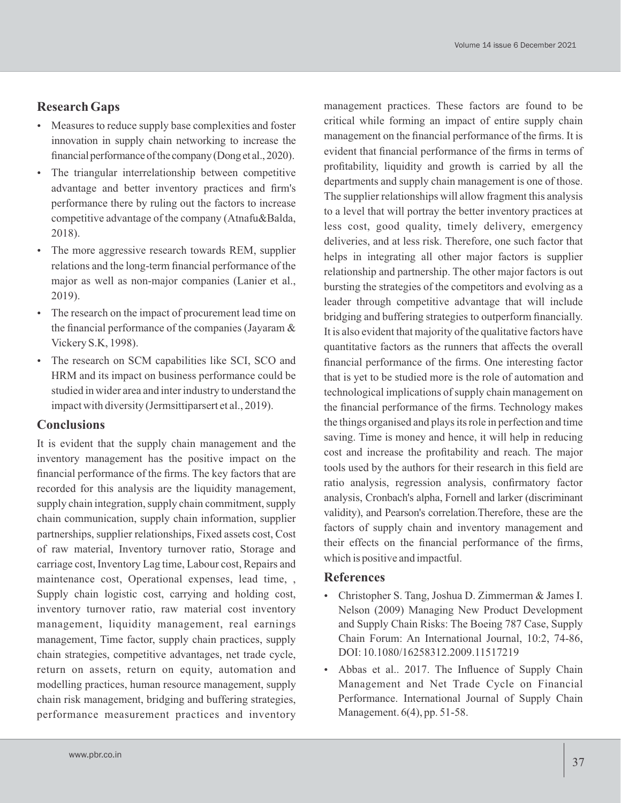# **Research Gaps**

- Measures to reduce supply base complexities and foster innovation in supply chain networking to increase the financial performance of the company (Dong et al., 2020).
- The triangular interrelationship between competitive advantage and better inventory practices and firm's performance there by ruling out the factors to increase competitive advantage of the company (Atnafu&Balda, 2018).
- The more aggressive research towards REM, supplier relations and the long-term financial performance of the major as well as non-major companies (Lanier et al., 2019).
- The research on the impact of procurement lead time on the financial performance of the companies (Jayaram & Vickery S.K, 1998).
- The research on SCM capabilities like SCI, SCO and HRM and its impact on business performance could be studied in wider area and inter industry to understand the impact with diversity (Jermsittiparsert et al., 2019).

#### **Conclusions**

It is evident that the supply chain management and the inventory management has the positive impact on the financial performance of the firms. The key factors that are recorded for this analysis are the liquidity management, supply chain integration, supply chain commitment, supply chain communication, supply chain information, supplier partnerships, supplier relationships, Fixed assets cost, Cost of raw material, Inventory turnover ratio, Storage and carriage cost, Inventory Lag time, Labour cost, Repairs and maintenance cost, Operational expenses, lead time, , Supply chain logistic cost, carrying and holding cost, inventory turnover ratio, raw material cost inventory management, liquidity management, real earnings management, Time factor, supply chain practices, supply chain strategies, competitive advantages, net trade cycle, return on assets, return on equity, automation and modelling practices, human resource management, supply chain risk management, bridging and buffering strategies, performance measurement practices and inventory

management practices. These factors are found to be critical while forming an impact of entire supply chain management on the financial performance of the firms. It is evident that financial performance of the firms in terms of profitability, liquidity and growth is carried by all the departments and supply chain management is one of those. The supplier relationships will allow fragment this analysis to a level that will portray the better inventory practices at less cost, good quality, timely delivery, emergency deliveries, and at less risk. Therefore, one such factor that helps in integrating all other major factors is supplier relationship and partnership. The other major factors is out bursting the strategies of the competitors and evolving as a leader through competitive advantage that will include bridging and buffering strategies to outperform financially. It is also evident that majority of the qualitative factors have quantitative factors as the runners that affects the overall financial performance of the firms. One interesting factor that is yet to be studied more is the role of automation and technological implications of supply chain management on the financial performance of the firms. Technology makes the things organised and plays its role in perfection and time saving. Time is money and hence, it will help in reducing cost and increase the profitability and reach. The major tools used by the authors for their research in this field are ratio analysis, regression analysis, confirmatory factor analysis, Cronbach's alpha, Fornell and larker (discriminant validity), and Pearson's correlation.Therefore, these are the factors of supply chain and inventory management and their effects on the financial performance of the firms, which is positive and impactful.

#### **References**

- Christopher S. Tang, Joshua D. Zimmerman & James I. Nelson (2009) Managing New Product Development and Supply Chain Risks: The Boeing 787 Case, Supply Chain Forum: An International Journal, 10:2, 74-86, DOI: 10.1080/16258312.2009.11517219
- Abbas et al.. 2017. The Influence of Supply Chain Management and Net Trade Cycle on Financial Performance. International Journal of Supply Chain Management. 6(4), pp. 51-58.